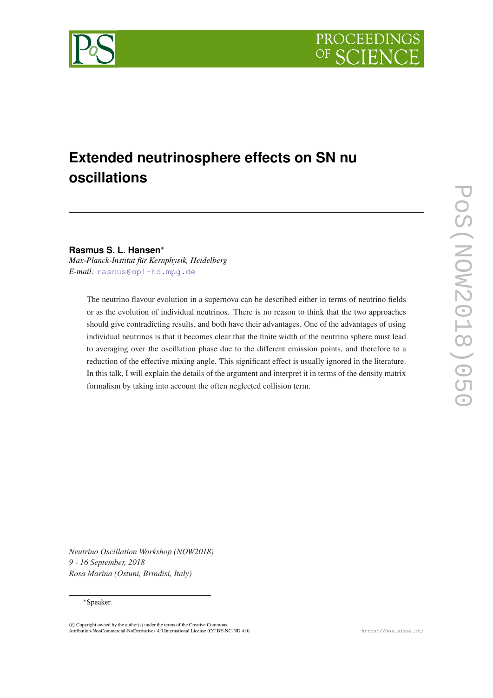



# **Extended neutrinosphere effects on SN nu oscillations**

**Rasmus S. L. Hansen**<sup>∗</sup>

*Max-Planck-Institut für Kernphysik, Heidelberg E-mail:* [rasmus@mpi-hd.mpg.de](mailto:rasmus@mpi-hd.mpg.de)

> The neutrino flavour evolution in a supernova can be described either in terms of neutrino fields or as the evolution of individual neutrinos. There is no reason to think that the two approaches should give contradicting results, and both have their advantages. One of the advantages of using individual neutrinos is that it becomes clear that the finite width of the neutrino sphere must lead to averaging over the oscillation phase due to the different emission points, and therefore to a reduction of the effective mixing angle. This significant effect is usually ignored in the literature. In this talk, I will explain the details of the argument and interpret it in terms of the density matrix formalism by taking into account the often neglected collision term.

*Neutrino Oscillation Workshop (NOW2018) 9 - 16 September, 2018 Rosa Marina (Ostuni, Brindisi, Italy)*

### <sup>∗</sup>Speaker.

 $\overline{c}$  Copyright owned by the author(s) under the terms of the Creative Common Attribution-NonCommercial-NoDerivatives 4.0 International License (CC BY-NC-ND 4.0). https://pos.sissa.it/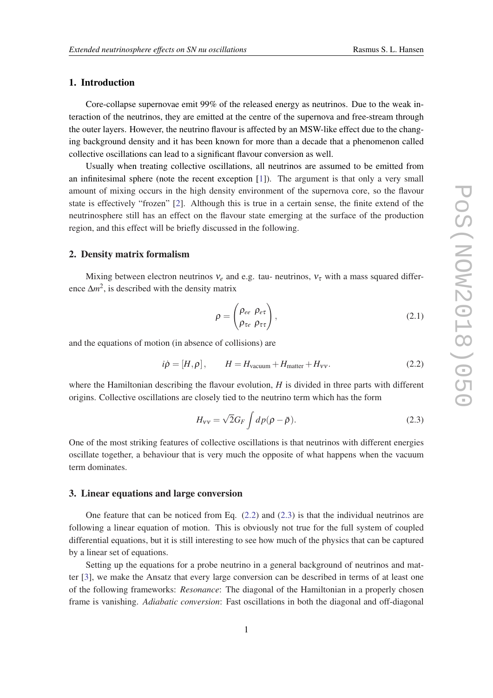# <span id="page-1-0"></span>1. Introduction

Core-collapse supernovae emit 99% of the released energy as neutrinos. Due to the weak interaction of the neutrinos, they are emitted at the centre of the supernova and free-stream through the outer layers. However, the neutrino flavour is affected by an MSW-like effect due to the changing background density and it has been known for more than a decade that a phenomenon called collective oscillations can lead to a significant flavour conversion as well.

Usually when treating collective oscillations, all neutrinos are assumed to be emitted from an infinitesimal sphere (note the recent exception [[1](#page-3-0)]). The argument is that only a very small amount of mixing occurs in the high density environment of the supernova core, so the flavour state is effectively "frozen" [\[2\]](#page-3-0). Although this is true in a certain sense, the finite extend of the neutrinosphere still has an effect on the flavour state emerging at the surface of the production region, and this effect will be briefly discussed in the following.

#### 2. Density matrix formalism

Mixing between electron neutrinos  $v_e$  and e.g. tau- neutrinos,  $v_\tau$  with a mass squared difference  $\Delta m^2$ , is described with the density matrix

$$
\rho = \begin{pmatrix} \rho_{ee} & \rho_{e\tau} \\ \rho_{\tau e} & \rho_{\tau\tau} \end{pmatrix},\tag{2.1}
$$

and the equations of motion (in absence of collisions) are

$$
i\dot{\rho} = [H, \rho], \qquad H = H_{\text{vacuum}} + H_{\text{matter}} + H_{\text{vv}}.
$$
 (2.2)

where the Hamiltonian describing the flavour evolution, *H* is divided in three parts with different origins. Collective oscillations are closely tied to the neutrino term which has the form

$$
H_{\rm vv} = \sqrt{2} G_F \int dp (\rho - \bar{\rho}). \tag{2.3}
$$

One of the most striking features of collective oscillations is that neutrinos with different energies oscillate together, a behaviour that is very much the opposite of what happens when the vacuum term dominates.

## 3. Linear equations and large conversion

One feature that can be noticed from Eq.  $(2.2)$  and  $(2.3)$  is that the individual neutrinos are following a linear equation of motion. This is obviously not true for the full system of coupled differential equations, but it is still interesting to see how much of the physics that can be captured by a linear set of equations.

Setting up the equations for a probe neutrino in a general background of neutrinos and matter [[3](#page-3-0)], we make the Ansatz that every large conversion can be described in terms of at least one of the following frameworks: *Resonance*: The diagonal of the Hamiltonian in a properly chosen frame is vanishing. *Adiabatic conversion*: Fast oscillations in both the diagonal and off-diagonal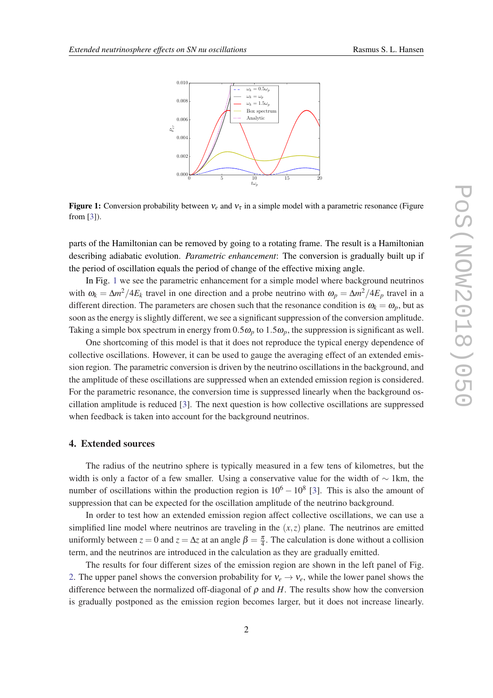

Figure 1: Conversion probability between  $v_e$  and  $v_\tau$  in a simple model with a parametric resonance (Figure from [[3](#page-3-0)]).

parts of the Hamiltonian can be removed by going to a rotating frame. The result is a Hamiltonian describing adiabatic evolution. *Parametric enhancement*: The conversion is gradually built up if the period of oscillation equals the period of change of the effective mixing angle.

In Fig. 1 we see the parametric enhancement for a simple model where background neutrinos with  $\omega_k = \Delta m^2 / 4E_k$  travel in one direction and a probe neutrino with  $\omega_p = \Delta m^2 / 4E_p$  travel in a different direction. The parameters are chosen such that the resonance condition is  $\omega_k = \omega_p$ , but as soon as the energy is slightly different, we see a significant suppression of the conversion amplitude. Taking a simple box spectrum in energy from  $0.5\omega_p$  to  $1.5\omega_p$ , the suppression is significant as well.

One shortcoming of this model is that it does not reproduce the typical energy dependence of collective oscillations. However, it can be used to gauge the averaging effect of an extended emission region. The parametric conversion is driven by the neutrino oscillations in the background, and the amplitude of these oscillations are suppressed when an extended emission region is considered. For the parametric resonance, the conversion time is suppressed linearly when the background oscillation amplitude is reduced [\[3\]](#page-3-0). The next question is how collective oscillations are suppressed when feedback is taken into account for the background neutrinos.

### 4. Extended sources

The radius of the neutrino sphere is typically measured in a few tens of kilometres, but the width is only a factor of a few smaller. Using a conservative value for the width of  $\sim 1 \text{km}$ , the number of oscillations within the production region is  $10^6 - 10^8$  [\[3\]](#page-3-0). This is also the amount of suppression that can be expected for the oscillation amplitude of the neutrino background.

In order to test how an extended emission region affect collective oscillations, we can use a simplified line model where neutrinos are traveling in the  $(x, z)$  plane. The neutrinos are emitted uniformly between  $z = 0$  and  $z = \Delta z$  at an angle  $\beta = \frac{\pi}{4}$ . The calculation is done without a collision term, and the neutrinos are introduced in the calculation as they are gradually emitted.

The results for four different sizes of the emission region are shown in the left panel of Fig. [2.](#page-3-0) The upper panel shows the conversion probability for  $v_e \rightarrow v_e$ , while the lower panel shows the difference between the normalized off-diagonal of  $\rho$  and  $H$ . The results show how the conversion is gradually postponed as the emission region becomes larger, but it does not increase linearly.